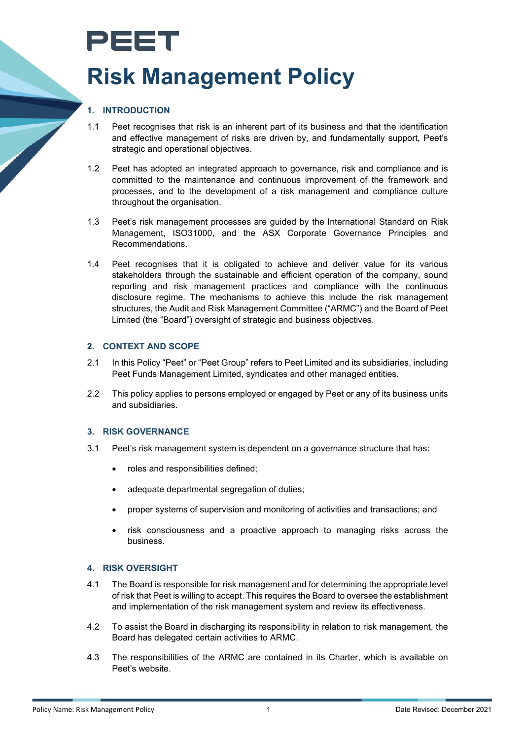## PEET **Risk Management Policy**

## **1. INTRODUCTION**

- 1.1 Peet recognises that risk is an inherent part of its business and that the identification and effective management of risks are driven by, and fundamentally support, Peet's strategic and operational objectives.
- 1.2 Peet has adopted an integrated approach to governance, risk and compliance and is committed to the maintenance and continuous improvement of the framework and processes, and to the development of a risk management and compliance culture throughout the organisation.
- 1.3 Peet's risk management processes are guided by the International Standard on Risk Management, ISO31000, and the ASX Corporate Governance Principles and Recommendations.
- 1.4 Peet recognises that it is obligated to achieve and deliver value for its various stakeholders through the sustainable and efficient operation of the company, sound reporting and risk management practices and compliance with the continuous disclosure regime. The mechanisms to achieve this include the risk management structures, the Audit and Risk Management Committee ("ARMC") and the Board of Peet Limited (the "Board") oversight of strategic and business objectives.

#### **2. CONTEXT AND SCOPE**

- 2.1 In this Policy "Peet" or "Peet Group" refers to Peet Limited and its subsidiaries, including Peet Funds Management Limited, syndicates and other managed entities.
- 2.2 This policy applies to persons employed or engaged by Peet or any of its business units and subsidiaries.

#### **3. RISK GOVERNANCE**

- 3.1 Peet's risk management system is dependent on a governance structure that has:
	- roles and responsibilities defined;
	- adequate departmental segregation of duties;
	- proper systems of supervision and monitoring of activities and transactions; and
	- risk consciousness and a proactive approach to managing risks across the business.

#### **4. RISK OVERSIGHT**

- 4.1 The Board is responsible for risk management and for determining the appropriate level of risk that Peet is willing to accept. This requires the Board to oversee the establishment and implementation of the risk management system and review its effectiveness.
- 4.2 To assist the Board in discharging its responsibility in relation to risk management, the Board has delegated certain activities to ARMC.
- 4.3 The responsibilities of the ARMC are contained in its Charter, which is available on Peet's website.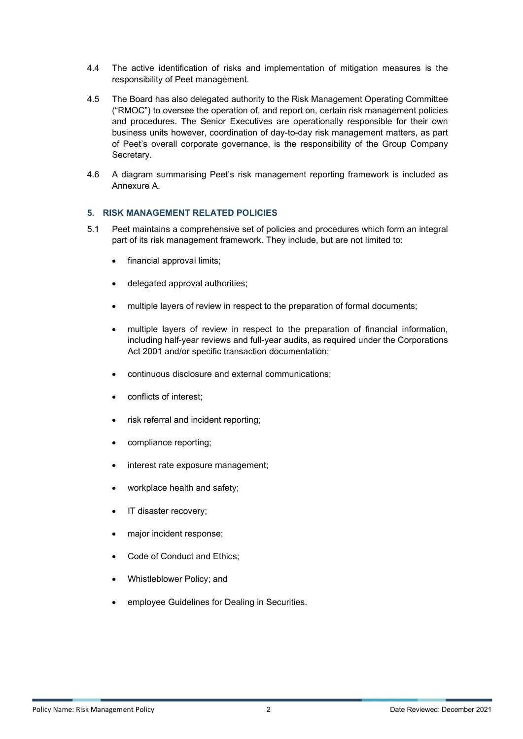- 4.4 The active identification of risks and implementation of mitigation measures is the responsibility of Peet management.
- 4.5 The Board has also delegated authority to the Risk Management Operating Committee ("RMOC") to oversee the operation of, and report on, certain risk management policies and procedures. The Senior Executives are operationally responsible for their own business units however, coordination of day-to-day risk management matters, as part of Peet's overall corporate governance, is the responsibility of the Group Company Secretary.
- 4.6 A diagram summarising Peet's risk management reporting framework is included as Annexure A.

#### **5. RISK MANAGEMENT RELATED POLICIES**

- 5.1 Peet maintains a comprehensive set of policies and procedures which form an integral part of its risk management framework. They include, but are not limited to:
	- financial approval limits;
	- delegated approval authorities;
	- multiple layers of review in respect to the preparation of formal documents;
	- multiple layers of review in respect to the preparation of financial information, including half-year reviews and full-year audits, as required under the Corporations Act 2001 and/or specific transaction documentation;
	- continuous disclosure and external communications;
	- conflicts of interest:
	- risk referral and incident reporting;
	- compliance reporting;
	- interest rate exposure management;
	- workplace health and safety;
	- IT disaster recovery;
	- major incident response;
	- Code of Conduct and Ethics;
	- Whistleblower Policy; and
	- employee Guidelines for Dealing in Securities.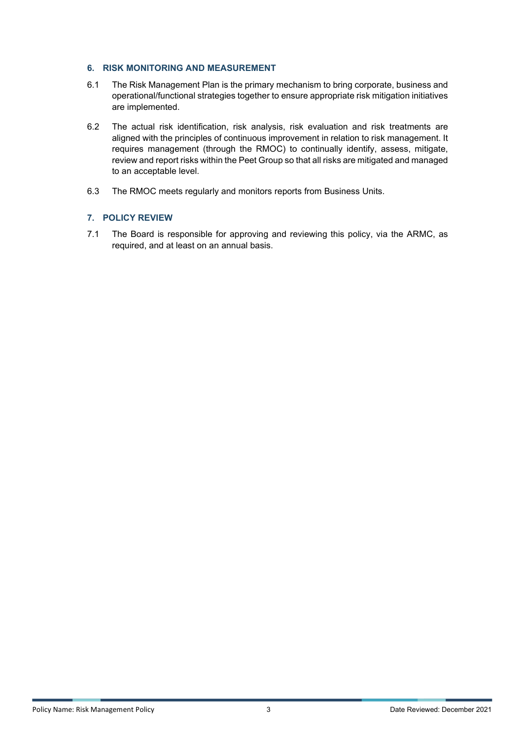#### **6. RISK MONITORING AND MEASUREMENT**

- 6.1 The Risk Management Plan is the primary mechanism to bring corporate, business and operational/functional strategies together to ensure appropriate risk mitigation initiatives are implemented.
- 6.2 The actual risk identification, risk analysis, risk evaluation and risk treatments are aligned with the principles of continuous improvement in relation to risk management. It requires management (through the RMOC) to continually identify, assess, mitigate, review and report risks within the Peet Group so that all risks are mitigated and managed to an acceptable level.
- 6.3 The RMOC meets regularly and monitors reports from Business Units.

### **7. POLICY REVIEW**

7.1 The Board is responsible for approving and reviewing this policy, via the ARMC, as required, and at least on an annual basis.